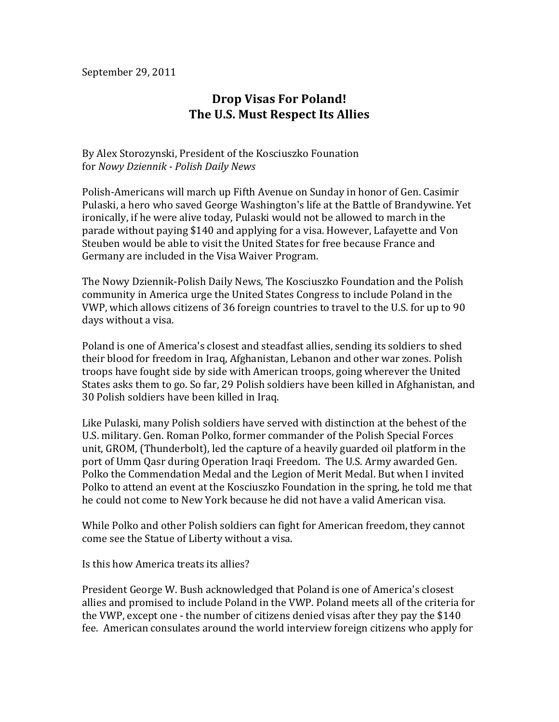September 29, 2011

## **Drop Visas For Poland! The U.S. Must Respect Its Allies**

By Alex Storozynski, President of the Kosciuszko Founation for(*Nowy%Dziennik%, Polish%Daily%News*

Polish-Americans will march up Fifth Avenue on Sunday in honor of Gen. Casimir Pulaski, a hero who saved George Washington's life at the Battle of Brandywine. Yet ironically, if he were alive today, Pulaski would not be allowed to march in the parade without paying \$140 and applying for a visa. However, Lafayette and Von Steuben would be able to visit the United States for free because France and Germany are included in the Visa Waiver Program.

The Nowy Dziennik-Polish Daily News, The Kosciuszko Foundation and the Polish community in America urge the United States Congress to include Poland in the VWP, which allows citizens of 36 foreign countries to travel to the U.S. for up to 90 days without a visa.

Poland is one of America's closest and steadfast allies, sending its soldiers to shed their blood for freedom in Iraq, Afghanistan, Lebanon and other war zones. Polish troops have fought side by side with American troops, going wherever the United States asks them to go. So far, 29 Polish soldiers have been killed in Afghanistan, and 30 Polish soldiers have been killed in Iraq.

Like Pulaski, many Polish soldiers have served with distinction at the behest of the U.S. military. Gen. Roman Polko, former commander of the Polish Special Forces unit, GROM, (Thunderbolt), led the capture of a heavily guarded oil platform in the port of Umm Qasr during Operation Iraqi Freedom. The U.S. Army awarded Gen. Polko the Commendation Medal and the Legion of Merit Medal. But when I invited Polko to attend an event at the Kosciuszko Foundation in the spring, he told me that he could not come to New York because he did not have a valid American visa.

While Polko and other Polish soldiers can fight for American freedom, they cannot come see the Statue of Liberty without a visa.

Is this how America treats its allies?

President George W. Bush acknowledged that Poland is one of America's closest allies and promised to include Poland in the VWP. Poland meets all of the criteria for the VWP, except one - the number of citizens denied visas after they pay the  $$140$ fee. American consulates around the world interview foreign citizens who apply for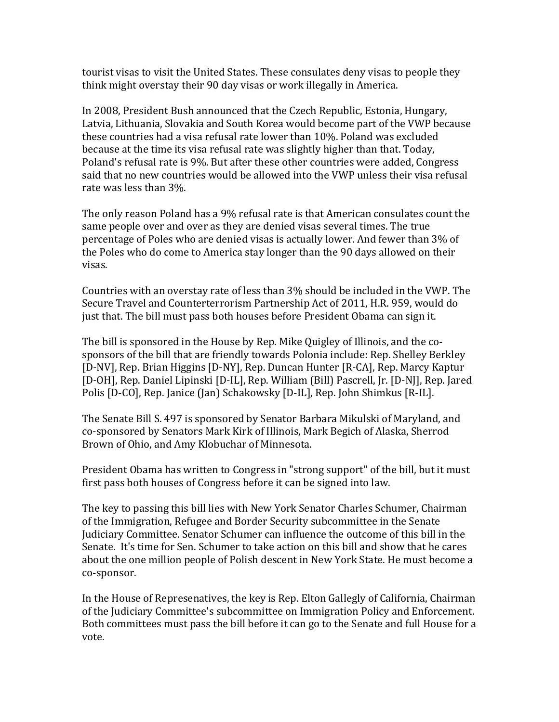tourist visas to visit the United States. These consulates deny visas to people they think might overstay their 90 day visas or work illegally in America.

In 2008, President Bush announced that the Czech Republic, Estonia, Hungary, Latvia, Lithuania, Slovakia and South Korea would become part of the VWP because these countries had a visa refusal rate lower than  $10\%$ . Poland was excluded because at the time its visa refusal rate was slightly higher than that. Today, Poland's refusal rate is 9%. But after these other countries were added, Congress said that no new countries would be allowed into the VWP unless their visa refusal rate was less than  $3\%$ .

The only reason Poland has a 9% refusal rate is that American consulates count the same people over and over as they are denied visas several times. The true percentage of Poles who are denied visas is actually lower. And fewer than  $3\%$  of the Poles who do come to America stay longer than the 90 days allowed on their visas.

Countries with an overstay rate of less than  $3\%$  should be included in the VWP. The Secure Travel and Counterterrorism Partnership Act of 2011, H.R. 959, would do just that. The bill must pass both houses before President Obama can sign it.

The bill is sponsored in the House by Rep. Mike Quigley of Illinois, and the cosponsors of the bill that are friendly towards Polonia include: Rep. Shelley Berkley [D-NV], Rep. Brian Higgins [D-NY], Rep. Duncan Hunter [R-CA], Rep. Marcy Kaptur [D-OH], Rep. Daniel Lipinski [D-IL], Rep. William (Bill) Pascrell, Jr. [D-NJ], Rep. Jared Polis [D-CO], Rep. Janice (Jan) Schakowsky [D-IL], Rep. John Shimkus [R-IL].

The Senate Bill S. 497 is sponsored by Senator Barbara Mikulski of Maryland, and co-sponsored by Senators Mark Kirk of Illinois, Mark Begich of Alaska, Sherrod Brown of Ohio, and Amy Klobuchar of Minnesota.

President Obama has written to Congress in "strong support" of the bill, but it must first pass both houses of Congress before it can be signed into law.

The key to passing this bill lies with New York Senator Charles Schumer, Chairman of the Immigration, Refugee and Border Security subcommittee in the Senate Judiciary Committee. Senator Schumer can influence the outcome of this bill in the Senate. It's time for Sen. Schumer to take action on this bill and show that he cares about the one million people of Polish descent in New York State. He must become a co-sponsor.

In the House of Represenatives, the key is Rep. Elton Gallegly of California, Chairman of the Judiciary Committee's subcommittee on Immigration Policy and Enforcement. Both committees must pass the bill before it can go to the Senate and full House for a vote.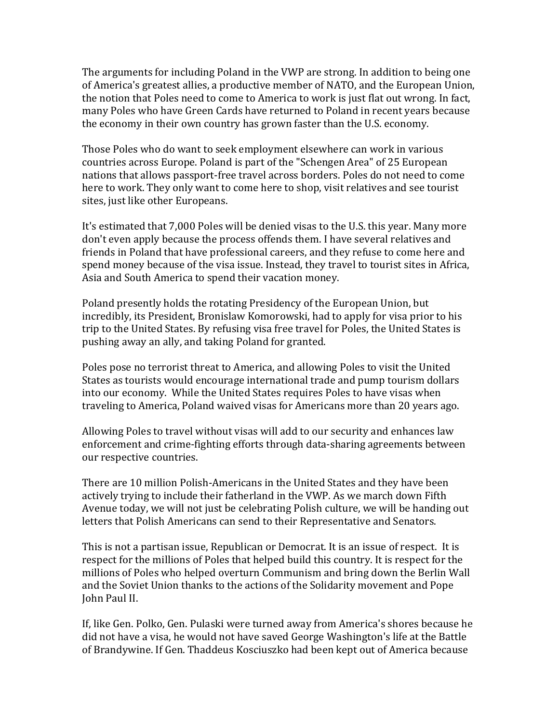The arguments for including Poland in the VWP are strong. In addition to being one of America's greatest allies, a productive member of NATO, and the European Union, the notion that Poles need to come to America to work is just flat out wrong. In fact, many Poles who have Green Cards have returned to Poland in recent years because the economy in their own country has grown faster than the U.S. economy.

Those Poles who do want to seek employment elsewhere can work in various countries across Europe. Poland is part of the "Schengen Area" of 25 European nations that allows passport-free travel across borders. Poles do not need to come here to work. They only want to come here to shop, visit relatives and see tourist sites, just like other Europeans.

It's estimated that 7,000 Poles will be denied visas to the U.S. this year. Many more don't even apply because the process offends them. I have several relatives and friends in Poland that have professional careers, and they refuse to come here and spend money because of the visa issue. Instead, they travel to tourist sites in Africa, Asia and South America to spend their vacation money.

Poland presently holds the rotating Presidency of the European Union, but incredibly, its President, Bronislaw Komorowski, had to apply for visa prior to his trip to the United States. By refusing visa free travel for Poles, the United States is pushing away an ally, and taking Poland for granted.

Poles pose no terrorist threat to America, and allowing Poles to visit the United States as tourists would encourage international trade and pump tourism dollars into our economy. While the United States requires Poles to have visas when traveling to America, Poland waived visas for Americans more than 20 years ago.

Allowing Poles to travel without visas will add to our security and enhances law enforcement and crime-fighting efforts through data-sharing agreements between our respective countries.

There are 10 million Polish-Americans in the United States and they have been actively trying to include their fatherland in the VWP. As we march down Fifth Avenue today, we will not just be celebrating Polish culture, we will be handing out letters that Polish Americans can send to their Representative and Senators.

This is not a partisan issue, Republican or Democrat. It is an issue of respect. It is respect for the millions of Poles that helped build this country. It is respect for the millions of Poles who helped overturn Communism and bring down the Berlin Wall and the Soviet Union thanks to the actions of the Solidarity movement and Pope John Paul II.

If, like Gen. Polko, Gen. Pulaski were turned away from America's shores because he did not have a visa, he would not have saved George Washington's life at the Battle of Brandywine. If Gen. Thaddeus Kosciuszko had been kept out of America because